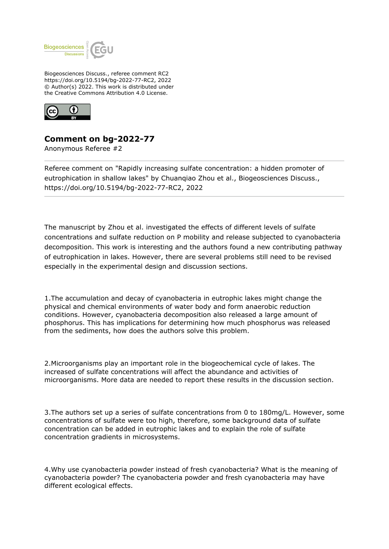

Biogeosciences Discuss., referee comment RC2 https://doi.org/10.5194/bg-2022-77-RC2, 2022 © Author(s) 2022. This work is distributed under the Creative Commons Attribution 4.0 License.



## **Comment on bg-2022-77**

Anonymous Referee #2

Referee comment on "Rapidly increasing sulfate concentration: a hidden promoter of eutrophication in shallow lakes" by Chuanqiao Zhou et al., Biogeosciences Discuss., https://doi.org/10.5194/bg-2022-77-RC2, 2022

The manuscript by Zhou et al. investigated the effects of different levels of sulfate concentrations and sulfate reduction on P mobility and release subjected to cyanobacteria decomposition. This work is interesting and the authors found a new contributing pathway of eutrophication in lakes. However, there are several problems still need to be revised especially in the experimental design and discussion sections.

1.The accumulation and decay of cyanobacteria in eutrophic lakes might change the physical and chemical environments of water body and form anaerobic reduction conditions. However, cyanobacteria decomposition also released a large amount of phosphorus. This has implications for determining how much phosphorus was released from the sediments, how does the authors solve this problem.

2.Microorganisms play an important role in the biogeochemical cycle of lakes. The increased of sulfate concentrations will affect the abundance and activities of microorganisms. More data are needed to report these results in the discussion section.

3.The authors set up a series of sulfate concentrations from 0 to 180mg/L. However, some concentrations of sulfate were too high, therefore, some background data of sulfate concentration can be added in eutrophic lakes and to explain the role of sulfate concentration gradients in microsystems.

4.Why use cyanobacteria powder instead of fresh cyanobacteria? What is the meaning of cyanobacteria powder? The cyanobacteria powder and fresh cyanobacteria may have different ecological effects.